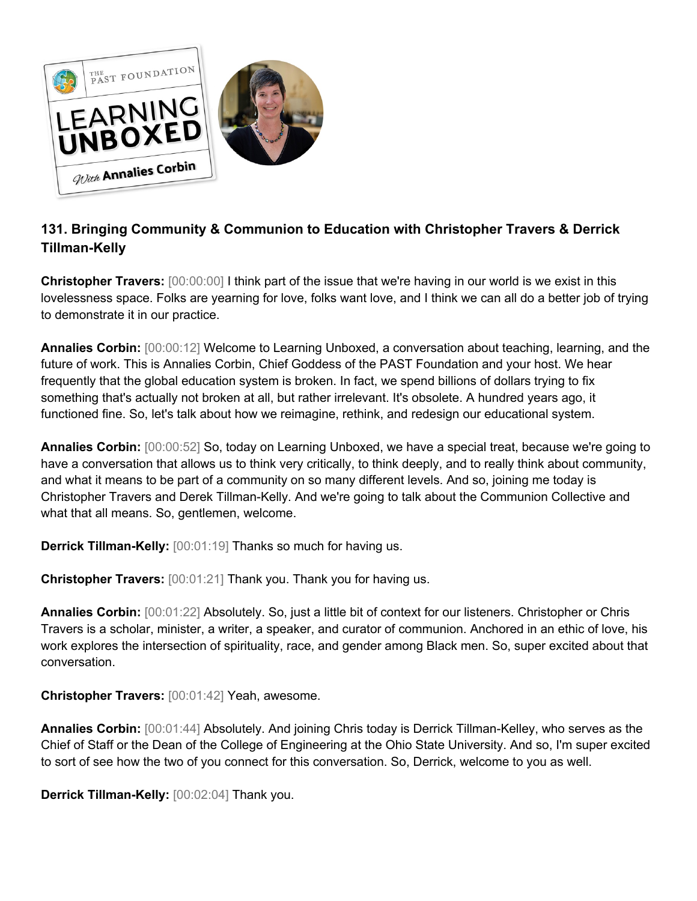

## **131. Bringing Community & Communion to Education with Christopher Travers & Derrick Tillman-Kelly**

**Christopher Travers:** [00:00:00] I think part of the issue that we're having in our world is we exist in this lovelessness space. Folks are yearning for love, folks want love, and I think we can all do a better job of trying to demonstrate it in our practice.

**Annalies Corbin:** [00:00:12] Welcome to Learning Unboxed, a conversation about teaching, learning, and the future of work. This is Annalies Corbin, Chief Goddess of the PAST Foundation and your host. We hear frequently that the global education system is broken. In fact, we spend billions of dollars trying to fix something that's actually not broken at all, but rather irrelevant. It's obsolete. A hundred years ago, it functioned fine. So, let's talk about how we reimagine, rethink, and redesign our educational system.

**Annalies Corbin:** [00:00:52] So, today on Learning Unboxed, we have a special treat, because we're going to have a conversation that allows us to think very critically, to think deeply, and to really think about community, and what it means to be part of a community on so many different levels. And so, joining me today is Christopher Travers and Derek Tillman-Kelly. And we're going to talk about the Communion Collective and what that all means. So, gentlemen, welcome.

**Derrick Tillman-Kelly:** [00:01:19] Thanks so much for having us.

**Christopher Travers:** [00:01:21] Thank you. Thank you for having us.

**Annalies Corbin:** [00:01:22] Absolutely. So, just a little bit of context for our listeners. Christopher or Chris Travers is a scholar, minister, a writer, a speaker, and curator of communion. Anchored in an ethic of love, his work explores the intersection of spirituality, race, and gender among Black men. So, super excited about that conversation.

**Christopher Travers:** [00:01:42] Yeah, awesome.

**Annalies Corbin:** [00:01:44] Absolutely. And joining Chris today is Derrick Tillman-Kelley, who serves as the Chief of Staff or the Dean of the College of Engineering at the Ohio State University. And so, I'm super excited to sort of see how the two of you connect for this conversation. So, Derrick, welcome to you as well.

**Derrick Tillman-Kelly:** [00:02:04] Thank you.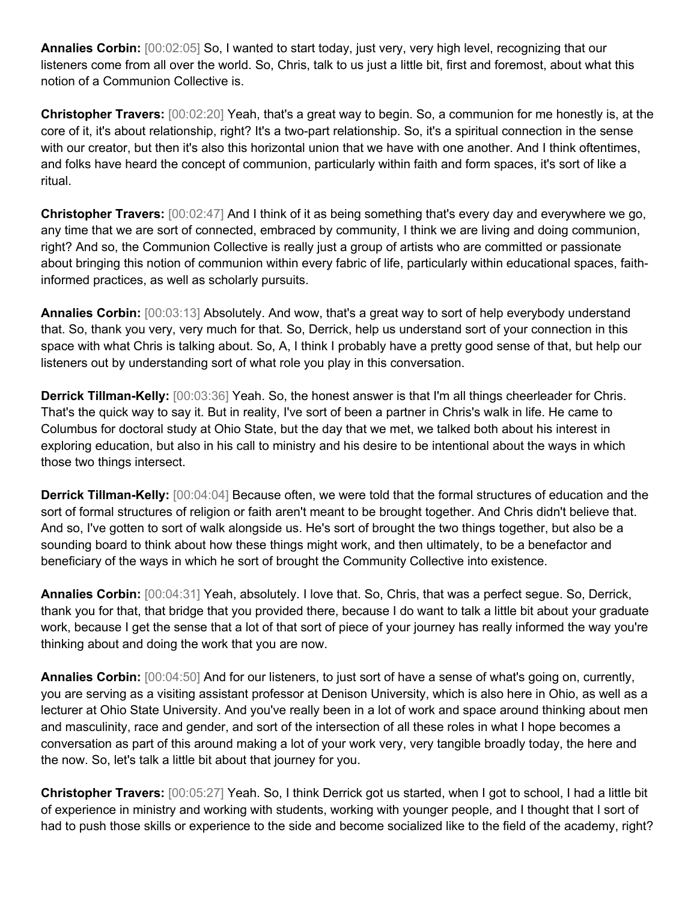**Annalies Corbin:** [00:02:05] So, I wanted to start today, just very, very high level, recognizing that our listeners come from all over the world. So, Chris, talk to us just a little bit, first and foremost, about what this notion of a Communion Collective is.

**Christopher Travers:** [00:02:20] Yeah, that's a great way to begin. So, a communion for me honestly is, at the core of it, it's about relationship, right? It's a two-part relationship. So, it's a spiritual connection in the sense with our creator, but then it's also this horizontal union that we have with one another. And I think oftentimes, and folks have heard the concept of communion, particularly within faith and form spaces, it's sort of like a ritual.

**Christopher Travers:** [00:02:47] And I think of it as being something that's every day and everywhere we go, any time that we are sort of connected, embraced by community, I think we are living and doing communion, right? And so, the Communion Collective is really just a group of artists who are committed or passionate about bringing this notion of communion within every fabric of life, particularly within educational spaces, faithinformed practices, as well as scholarly pursuits.

**Annalies Corbin:** [00:03:13] Absolutely. And wow, that's a great way to sort of help everybody understand that. So, thank you very, very much for that. So, Derrick, help us understand sort of your connection in this space with what Chris is talking about. So, A, I think I probably have a pretty good sense of that, but help our listeners out by understanding sort of what role you play in this conversation.

**Derrick Tillman-Kelly:** [00:03:36] Yeah. So, the honest answer is that I'm all things cheerleader for Chris. That's the quick way to say it. But in reality, I've sort of been a partner in Chris's walk in life. He came to Columbus for doctoral study at Ohio State, but the day that we met, we talked both about his interest in exploring education, but also in his call to ministry and his desire to be intentional about the ways in which those two things intersect.

**Derrick Tillman-Kelly:** [00:04:04] Because often, we were told that the formal structures of education and the sort of formal structures of religion or faith aren't meant to be brought together. And Chris didn't believe that. And so, I've gotten to sort of walk alongside us. He's sort of brought the two things together, but also be a sounding board to think about how these things might work, and then ultimately, to be a benefactor and beneficiary of the ways in which he sort of brought the Community Collective into existence.

**Annalies Corbin:** [00:04:31] Yeah, absolutely. I love that. So, Chris, that was a perfect segue. So, Derrick, thank you for that, that bridge that you provided there, because I do want to talk a little bit about your graduate work, because I get the sense that a lot of that sort of piece of your journey has really informed the way you're thinking about and doing the work that you are now.

**Annalies Corbin:** [00:04:50] And for our listeners, to just sort of have a sense of what's going on, currently, you are serving as a visiting assistant professor at Denison University, which is also here in Ohio, as well as a lecturer at Ohio State University. And you've really been in a lot of work and space around thinking about men and masculinity, race and gender, and sort of the intersection of all these roles in what I hope becomes a conversation as part of this around making a lot of your work very, very tangible broadly today, the here and the now. So, let's talk a little bit about that journey for you.

**Christopher Travers:** [00:05:27] Yeah. So, I think Derrick got us started, when I got to school, I had a little bit of experience in ministry and working with students, working with younger people, and I thought that I sort of had to push those skills or experience to the side and become socialized like to the field of the academy, right?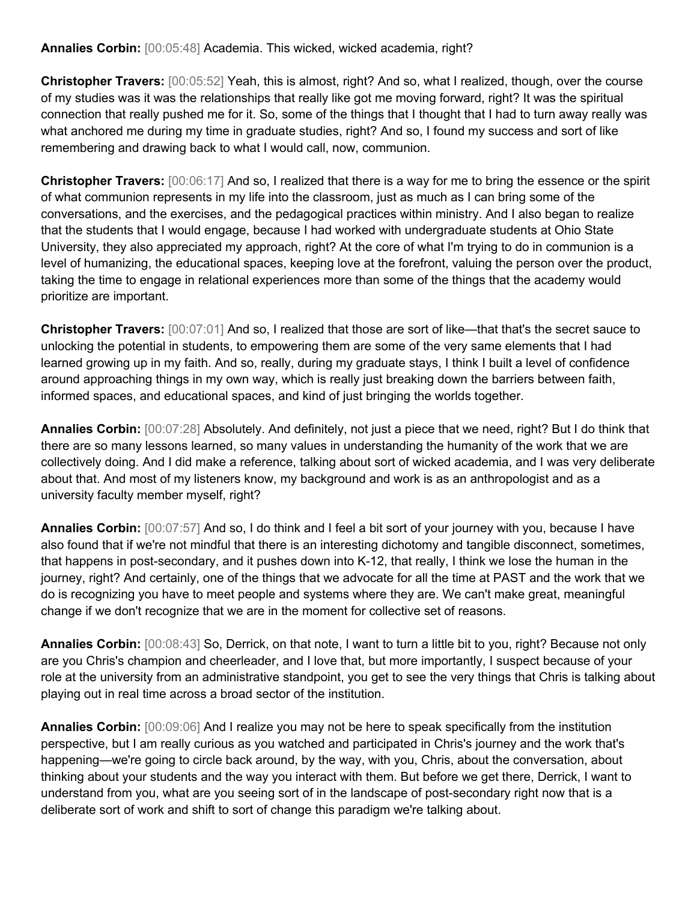**Annalies Corbin:** [00:05:48] Academia. This wicked, wicked academia, right?

**Christopher Travers:** [00:05:52] Yeah, this is almost, right? And so, what I realized, though, over the course of my studies was it was the relationships that really like got me moving forward, right? It was the spiritual connection that really pushed me for it. So, some of the things that I thought that I had to turn away really was what anchored me during my time in graduate studies, right? And so, I found my success and sort of like remembering and drawing back to what I would call, now, communion.

**Christopher Travers:** [00:06:17] And so, I realized that there is a way for me to bring the essence or the spirit of what communion represents in my life into the classroom, just as much as I can bring some of the conversations, and the exercises, and the pedagogical practices within ministry. And I also began to realize that the students that I would engage, because I had worked with undergraduate students at Ohio State University, they also appreciated my approach, right? At the core of what I'm trying to do in communion is a level of humanizing, the educational spaces, keeping love at the forefront, valuing the person over the product, taking the time to engage in relational experiences more than some of the things that the academy would prioritize are important.

**Christopher Travers:** [00:07:01] And so, I realized that those are sort of like—that that's the secret sauce to unlocking the potential in students, to empowering them are some of the very same elements that I had learned growing up in my faith. And so, really, during my graduate stays, I think I built a level of confidence around approaching things in my own way, which is really just breaking down the barriers between faith, informed spaces, and educational spaces, and kind of just bringing the worlds together.

**Annalies Corbin:** [00:07:28] Absolutely. And definitely, not just a piece that we need, right? But I do think that there are so many lessons learned, so many values in understanding the humanity of the work that we are collectively doing. And I did make a reference, talking about sort of wicked academia, and I was very deliberate about that. And most of my listeners know, my background and work is as an anthropologist and as a university faculty member myself, right?

**Annalies Corbin:** [00:07:57] And so, I do think and I feel a bit sort of your journey with you, because I have also found that if we're not mindful that there is an interesting dichotomy and tangible disconnect, sometimes, that happens in post-secondary, and it pushes down into K-12, that really, I think we lose the human in the journey, right? And certainly, one of the things that we advocate for all the time at PAST and the work that we do is recognizing you have to meet people and systems where they are. We can't make great, meaningful change if we don't recognize that we are in the moment for collective set of reasons.

**Annalies Corbin:** [00:08:43] So, Derrick, on that note, I want to turn a little bit to you, right? Because not only are you Chris's champion and cheerleader, and I love that, but more importantly, I suspect because of your role at the university from an administrative standpoint, you get to see the very things that Chris is talking about playing out in real time across a broad sector of the institution.

**Annalies Corbin:** [00:09:06] And I realize you may not be here to speak specifically from the institution perspective, but I am really curious as you watched and participated in Chris's journey and the work that's happening—we're going to circle back around, by the way, with you, Chris, about the conversation, about thinking about your students and the way you interact with them. But before we get there, Derrick, I want to understand from you, what are you seeing sort of in the landscape of post-secondary right now that is a deliberate sort of work and shift to sort of change this paradigm we're talking about.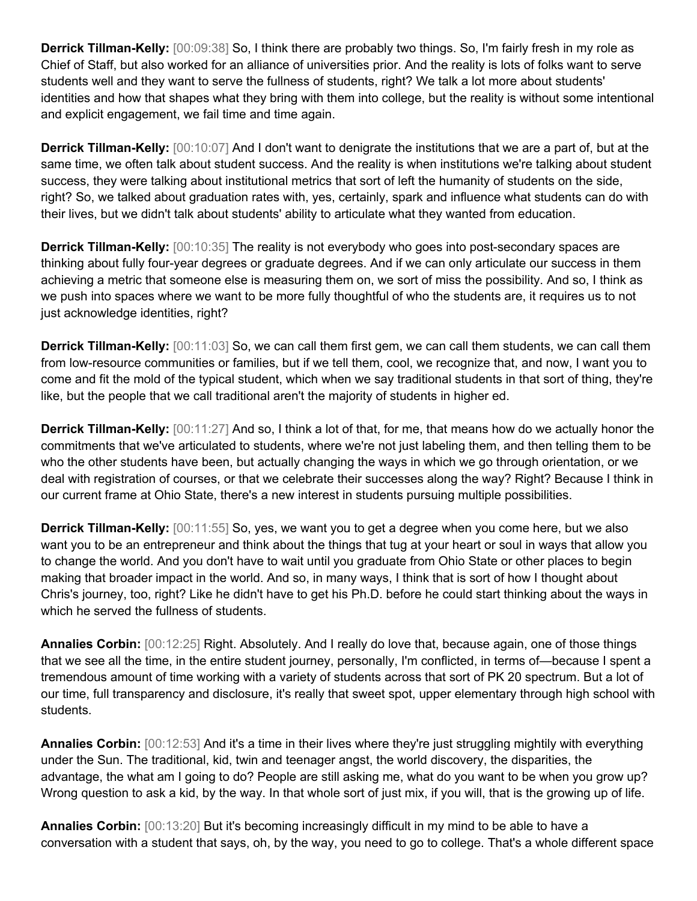**Derrick Tillman-Kelly:** [00:09:38] So, I think there are probably two things. So, I'm fairly fresh in my role as Chief of Staff, but also worked for an alliance of universities prior. And the reality is lots of folks want to serve students well and they want to serve the fullness of students, right? We talk a lot more about students' identities and how that shapes what they bring with them into college, but the reality is without some intentional and explicit engagement, we fail time and time again.

**Derrick Tillman-Kelly:** [00:10:07] And I don't want to denigrate the institutions that we are a part of, but at the same time, we often talk about student success. And the reality is when institutions we're talking about student success, they were talking about institutional metrics that sort of left the humanity of students on the side, right? So, we talked about graduation rates with, yes, certainly, spark and influence what students can do with their lives, but we didn't talk about students' ability to articulate what they wanted from education.

**Derrick Tillman-Kelly:** [00:10:35] The reality is not everybody who goes into post-secondary spaces are thinking about fully four-year degrees or graduate degrees. And if we can only articulate our success in them achieving a metric that someone else is measuring them on, we sort of miss the possibility. And so, I think as we push into spaces where we want to be more fully thoughtful of who the students are, it requires us to not just acknowledge identities, right?

**Derrick Tillman-Kelly:** [00:11:03] So, we can call them first gem, we can call them students, we can call them from low-resource communities or families, but if we tell them, cool, we recognize that, and now, I want you to come and fit the mold of the typical student, which when we say traditional students in that sort of thing, they're like, but the people that we call traditional aren't the majority of students in higher ed.

**Derrick Tillman-Kelly:** [00:11:27] And so, I think a lot of that, for me, that means how do we actually honor the commitments that we've articulated to students, where we're not just labeling them, and then telling them to be who the other students have been, but actually changing the ways in which we go through orientation, or we deal with registration of courses, or that we celebrate their successes along the way? Right? Because I think in our current frame at Ohio State, there's a new interest in students pursuing multiple possibilities.

**Derrick Tillman-Kelly:** [00:11:55] So, yes, we want you to get a degree when you come here, but we also want you to be an entrepreneur and think about the things that tug at your heart or soul in ways that allow you to change the world. And you don't have to wait until you graduate from Ohio State or other places to begin making that broader impact in the world. And so, in many ways, I think that is sort of how I thought about Chris's journey, too, right? Like he didn't have to get his Ph.D. before he could start thinking about the ways in which he served the fullness of students.

**Annalies Corbin:** [00:12:25] Right. Absolutely. And I really do love that, because again, one of those things that we see all the time, in the entire student journey, personally, I'm conflicted, in terms of—because I spent a tremendous amount of time working with a variety of students across that sort of PK 20 spectrum. But a lot of our time, full transparency and disclosure, it's really that sweet spot, upper elementary through high school with students.

**Annalies Corbin:** [00:12:53] And it's a time in their lives where they're just struggling mightily with everything under the Sun. The traditional, kid, twin and teenager angst, the world discovery, the disparities, the advantage, the what am I going to do? People are still asking me, what do you want to be when you grow up? Wrong question to ask a kid, by the way. In that whole sort of just mix, if you will, that is the growing up of life.

**Annalies Corbin:** [00:13:20] But it's becoming increasingly difficult in my mind to be able to have a conversation with a student that says, oh, by the way, you need to go to college. That's a whole different space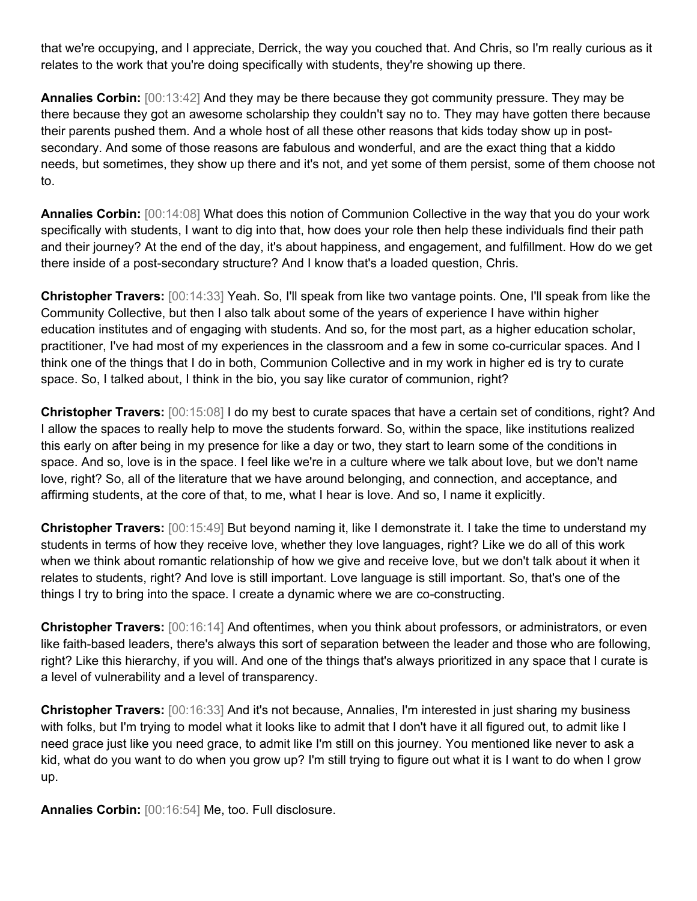that we're occupying, and I appreciate, Derrick, the way you couched that. And Chris, so I'm really curious as it relates to the work that you're doing specifically with students, they're showing up there.

**Annalies Corbin:** [00:13:42] And they may be there because they got community pressure. They may be there because they got an awesome scholarship they couldn't say no to. They may have gotten there because their parents pushed them. And a whole host of all these other reasons that kids today show up in postsecondary. And some of those reasons are fabulous and wonderful, and are the exact thing that a kiddo needs, but sometimes, they show up there and it's not, and yet some of them persist, some of them choose not to.

**Annalies Corbin:** [00:14:08] What does this notion of Communion Collective in the way that you do your work specifically with students, I want to dig into that, how does your role then help these individuals find their path and their journey? At the end of the day, it's about happiness, and engagement, and fulfillment. How do we get there inside of a post-secondary structure? And I know that's a loaded question, Chris.

**Christopher Travers:** [00:14:33] Yeah. So, I'll speak from like two vantage points. One, I'll speak from like the Community Collective, but then I also talk about some of the years of experience I have within higher education institutes and of engaging with students. And so, for the most part, as a higher education scholar, practitioner, I've had most of my experiences in the classroom and a few in some co-curricular spaces. And I think one of the things that I do in both, Communion Collective and in my work in higher ed is try to curate space. So, I talked about, I think in the bio, you say like curator of communion, right?

**Christopher Travers:** [00:15:08] I do my best to curate spaces that have a certain set of conditions, right? And I allow the spaces to really help to move the students forward. So, within the space, like institutions realized this early on after being in my presence for like a day or two, they start to learn some of the conditions in space. And so, love is in the space. I feel like we're in a culture where we talk about love, but we don't name love, right? So, all of the literature that we have around belonging, and connection, and acceptance, and affirming students, at the core of that, to me, what I hear is love. And so, I name it explicitly.

**Christopher Travers:** [00:15:49] But beyond naming it, like I demonstrate it. I take the time to understand my students in terms of how they receive love, whether they love languages, right? Like we do all of this work when we think about romantic relationship of how we give and receive love, but we don't talk about it when it relates to students, right? And love is still important. Love language is still important. So, that's one of the things I try to bring into the space. I create a dynamic where we are co-constructing.

**Christopher Travers:** [00:16:14] And oftentimes, when you think about professors, or administrators, or even like faith-based leaders, there's always this sort of separation between the leader and those who are following, right? Like this hierarchy, if you will. And one of the things that's always prioritized in any space that I curate is a level of vulnerability and a level of transparency.

**Christopher Travers:** [00:16:33] And it's not because, Annalies, I'm interested in just sharing my business with folks, but I'm trying to model what it looks like to admit that I don't have it all figured out, to admit like I need grace just like you need grace, to admit like I'm still on this journey. You mentioned like never to ask a kid, what do you want to do when you grow up? I'm still trying to figure out what it is I want to do when I grow up.

**Annalies Corbin:** [00:16:54] Me, too. Full disclosure.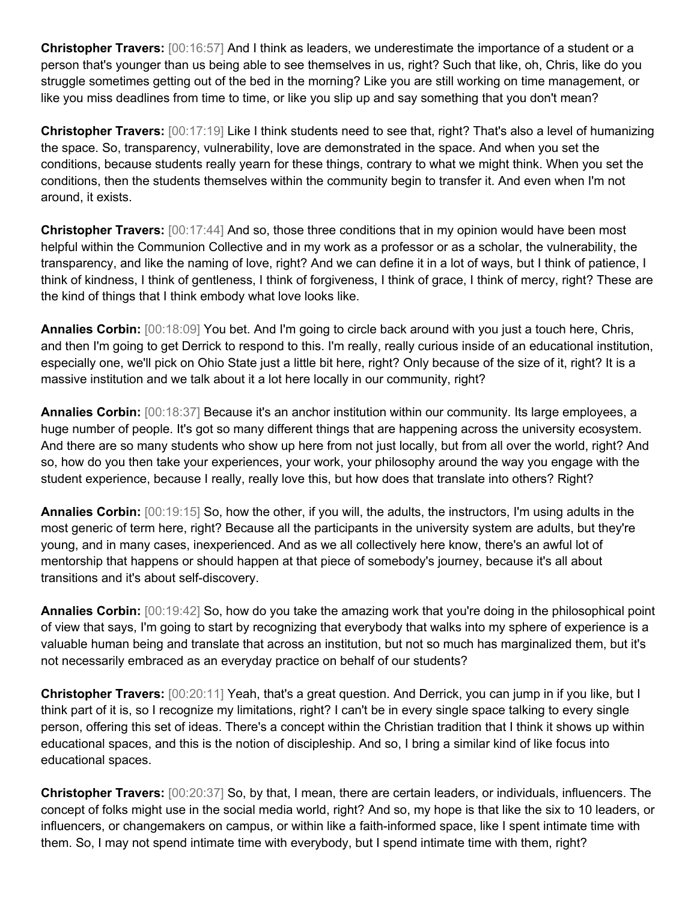**Christopher Travers:** [00:16:57] And I think as leaders, we underestimate the importance of a student or a person that's younger than us being able to see themselves in us, right? Such that like, oh, Chris, like do you struggle sometimes getting out of the bed in the morning? Like you are still working on time management, or like you miss deadlines from time to time, or like you slip up and say something that you don't mean?

**Christopher Travers:** [00:17:19] Like I think students need to see that, right? That's also a level of humanizing the space. So, transparency, vulnerability, love are demonstrated in the space. And when you set the conditions, because students really yearn for these things, contrary to what we might think. When you set the conditions, then the students themselves within the community begin to transfer it. And even when I'm not around, it exists.

**Christopher Travers:** [00:17:44] And so, those three conditions that in my opinion would have been most helpful within the Communion Collective and in my work as a professor or as a scholar, the vulnerability, the transparency, and like the naming of love, right? And we can define it in a lot of ways, but I think of patience, I think of kindness, I think of gentleness, I think of forgiveness, I think of grace, I think of mercy, right? These are the kind of things that I think embody what love looks like.

**Annalies Corbin:** [00:18:09] You bet. And I'm going to circle back around with you just a touch here, Chris, and then I'm going to get Derrick to respond to this. I'm really, really curious inside of an educational institution, especially one, we'll pick on Ohio State just a little bit here, right? Only because of the size of it, right? It is a massive institution and we talk about it a lot here locally in our community, right?

**Annalies Corbin:** [00:18:37] Because it's an anchor institution within our community. Its large employees, a huge number of people. It's got so many different things that are happening across the university ecosystem. And there are so many students who show up here from not just locally, but from all over the world, right? And so, how do you then take your experiences, your work, your philosophy around the way you engage with the student experience, because I really, really love this, but how does that translate into others? Right?

**Annalies Corbin:** [00:19:15] So, how the other, if you will, the adults, the instructors, I'm using adults in the most generic of term here, right? Because all the participants in the university system are adults, but they're young, and in many cases, inexperienced. And as we all collectively here know, there's an awful lot of mentorship that happens or should happen at that piece of somebody's journey, because it's all about transitions and it's about self-discovery.

**Annalies Corbin:** [00:19:42] So, how do you take the amazing work that you're doing in the philosophical point of view that says, I'm going to start by recognizing that everybody that walks into my sphere of experience is a valuable human being and translate that across an institution, but not so much has marginalized them, but it's not necessarily embraced as an everyday practice on behalf of our students?

**Christopher Travers:** [00:20:11] Yeah, that's a great question. And Derrick, you can jump in if you like, but I think part of it is, so I recognize my limitations, right? I can't be in every single space talking to every single person, offering this set of ideas. There's a concept within the Christian tradition that I think it shows up within educational spaces, and this is the notion of discipleship. And so, I bring a similar kind of like focus into educational spaces.

**Christopher Travers:** [00:20:37] So, by that, I mean, there are certain leaders, or individuals, influencers. The concept of folks might use in the social media world, right? And so, my hope is that like the six to 10 leaders, or influencers, or changemakers on campus, or within like a faith-informed space, like I spent intimate time with them. So, I may not spend intimate time with everybody, but I spend intimate time with them, right?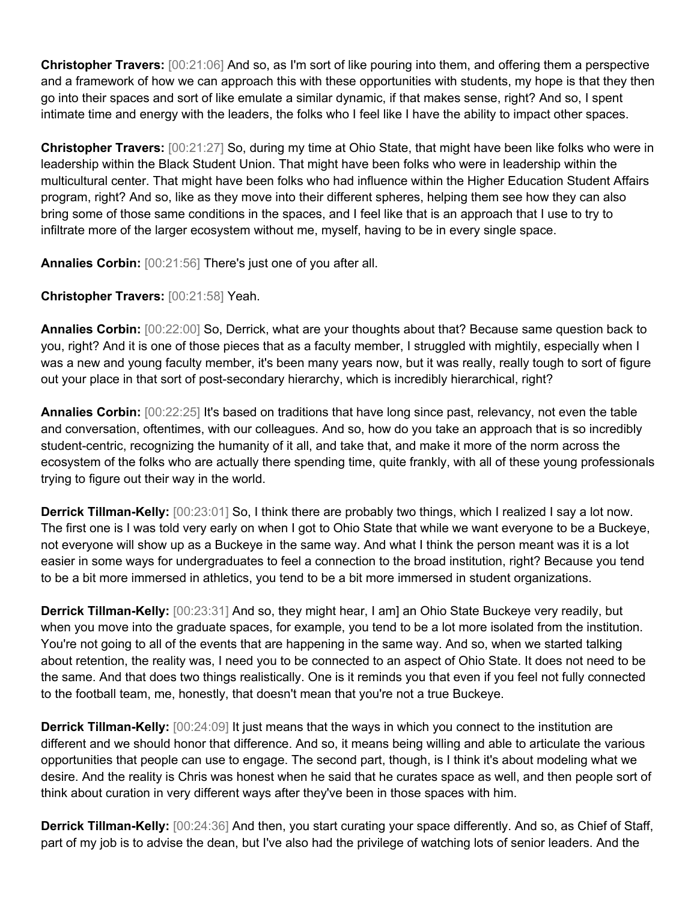**Christopher Travers:** [00:21:06] And so, as I'm sort of like pouring into them, and offering them a perspective and a framework of how we can approach this with these opportunities with students, my hope is that they then go into their spaces and sort of like emulate a similar dynamic, if that makes sense, right? And so, I spent intimate time and energy with the leaders, the folks who I feel like I have the ability to impact other spaces.

**Christopher Travers:** [00:21:27] So, during my time at Ohio State, that might have been like folks who were in leadership within the Black Student Union. That might have been folks who were in leadership within the multicultural center. That might have been folks who had influence within the Higher Education Student Affairs program, right? And so, like as they move into their different spheres, helping them see how they can also bring some of those same conditions in the spaces, and I feel like that is an approach that I use to try to infiltrate more of the larger ecosystem without me, myself, having to be in every single space.

**Annalies Corbin:** [00:21:56] There's just one of you after all.

**Christopher Travers:** [00:21:58] Yeah.

**Annalies Corbin:** [00:22:00] So, Derrick, what are your thoughts about that? Because same question back to you, right? And it is one of those pieces that as a faculty member, I struggled with mightily, especially when I was a new and young faculty member, it's been many years now, but it was really, really tough to sort of figure out your place in that sort of post-secondary hierarchy, which is incredibly hierarchical, right?

**Annalies Corbin:** [00:22:25] It's based on traditions that have long since past, relevancy, not even the table and conversation, oftentimes, with our colleagues. And so, how do you take an approach that is so incredibly student-centric, recognizing the humanity of it all, and take that, and make it more of the norm across the ecosystem of the folks who are actually there spending time, quite frankly, with all of these young professionals trying to figure out their way in the world.

**Derrick Tillman-Kelly:**  $[00:23:01]$  So, I think there are probably two things, which I realized I say a lot now. The first one is I was told very early on when I got to Ohio State that while we want everyone to be a Buckeye, not everyone will show up as a Buckeye in the same way. And what I think the person meant was it is a lot easier in some ways for undergraduates to feel a connection to the broad institution, right? Because you tend to be a bit more immersed in athletics, you tend to be a bit more immersed in student organizations.

**Derrick Tillman-Kelly:** [00:23:31] And so, they might hear, I am] an Ohio State Buckeye very readily, but when you move into the graduate spaces, for example, you tend to be a lot more isolated from the institution. You're not going to all of the events that are happening in the same way. And so, when we started talking about retention, the reality was, I need you to be connected to an aspect of Ohio State. It does not need to be the same. And that does two things realistically. One is it reminds you that even if you feel not fully connected to the football team, me, honestly, that doesn't mean that you're not a true Buckeye.

**Derrick Tillman-Kelly:** [00:24:09] It just means that the ways in which you connect to the institution are different and we should honor that difference. And so, it means being willing and able to articulate the various opportunities that people can use to engage. The second part, though, is I think it's about modeling what we desire. And the reality is Chris was honest when he said that he curates space as well, and then people sort of think about curation in very different ways after they've been in those spaces with him.

**Derrick Tillman-Kelly:** [00:24:36] And then, you start curating your space differently. And so, as Chief of Staff, part of my job is to advise the dean, but I've also had the privilege of watching lots of senior leaders. And the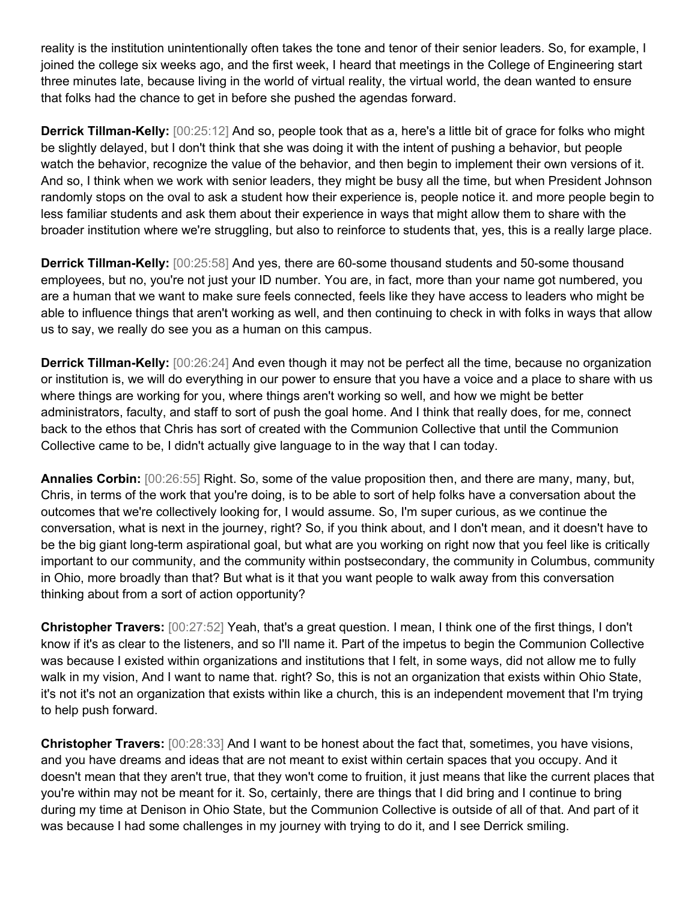reality is the institution unintentionally often takes the tone and tenor of their senior leaders. So, for example, I joined the college six weeks ago, and the first week, I heard that meetings in the College of Engineering start three minutes late, because living in the world of virtual reality, the virtual world, the dean wanted to ensure that folks had the chance to get in before she pushed the agendas forward.

**Derrick Tillman-Kelly:** [00:25:12] And so, people took that as a, here's a little bit of grace for folks who might be slightly delayed, but I don't think that she was doing it with the intent of pushing a behavior, but people watch the behavior, recognize the value of the behavior, and then begin to implement their own versions of it. And so, I think when we work with senior leaders, they might be busy all the time, but when President Johnson randomly stops on the oval to ask a student how their experience is, people notice it. and more people begin to less familiar students and ask them about their experience in ways that might allow them to share with the broader institution where we're struggling, but also to reinforce to students that, yes, this is a really large place.

**Derrick Tillman-Kelly:** [00:25:58] And yes, there are 60-some thousand students and 50-some thousand employees, but no, you're not just your ID number. You are, in fact, more than your name got numbered, you are a human that we want to make sure feels connected, feels like they have access to leaders who might be able to influence things that aren't working as well, and then continuing to check in with folks in ways that allow us to say, we really do see you as a human on this campus.

**Derrick Tillman-Kelly:** [00:26:24] And even though it may not be perfect all the time, because no organization or institution is, we will do everything in our power to ensure that you have a voice and a place to share with us where things are working for you, where things aren't working so well, and how we might be better administrators, faculty, and staff to sort of push the goal home. And I think that really does, for me, connect back to the ethos that Chris has sort of created with the Communion Collective that until the Communion Collective came to be, I didn't actually give language to in the way that I can today.

**Annalies Corbin:** [00:26:55] Right. So, some of the value proposition then, and there are many, many, but, Chris, in terms of the work that you're doing, is to be able to sort of help folks have a conversation about the outcomes that we're collectively looking for, I would assume. So, I'm super curious, as we continue the conversation, what is next in the journey, right? So, if you think about, and I don't mean, and it doesn't have to be the big giant long-term aspirational goal, but what are you working on right now that you feel like is critically important to our community, and the community within postsecondary, the community in Columbus, community in Ohio, more broadly than that? But what is it that you want people to walk away from this conversation thinking about from a sort of action opportunity?

**Christopher Travers:** [00:27:52] Yeah, that's a great question. I mean, I think one of the first things, I don't know if it's as clear to the listeners, and so I'll name it. Part of the impetus to begin the Communion Collective was because I existed within organizations and institutions that I felt, in some ways, did not allow me to fully walk in my vision, And I want to name that. right? So, this is not an organization that exists within Ohio State, it's not it's not an organization that exists within like a church, this is an independent movement that I'm trying to help push forward.

**Christopher Travers:** [00:28:33] And I want to be honest about the fact that, sometimes, you have visions, and you have dreams and ideas that are not meant to exist within certain spaces that you occupy. And it doesn't mean that they aren't true, that they won't come to fruition, it just means that like the current places that you're within may not be meant for it. So, certainly, there are things that I did bring and I continue to bring during my time at Denison in Ohio State, but the Communion Collective is outside of all of that. And part of it was because I had some challenges in my journey with trying to do it, and I see Derrick smiling.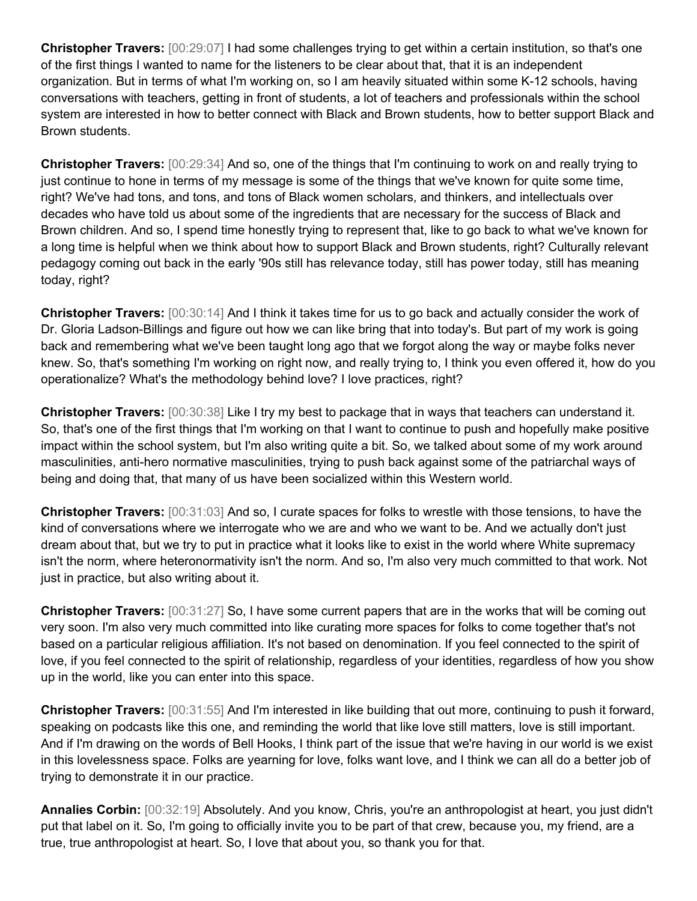**Christopher Travers:** [00:29:07] I had some challenges trying to get within a certain institution, so that's one of the first things I wanted to name for the listeners to be clear about that, that it is an independent organization. But in terms of what I'm working on, so I am heavily situated within some K-12 schools, having conversations with teachers, getting in front of students, a lot of teachers and professionals within the school system are interested in how to better connect with Black and Brown students, how to better support Black and Brown students.

**Christopher Travers:** [00:29:34] And so, one of the things that I'm continuing to work on and really trying to just continue to hone in terms of my message is some of the things that we've known for quite some time, right? We've had tons, and tons, and tons of Black women scholars, and thinkers, and intellectuals over decades who have told us about some of the ingredients that are necessary for the success of Black and Brown children. And so, I spend time honestly trying to represent that, like to go back to what we've known for a long time is helpful when we think about how to support Black and Brown students, right? Culturally relevant pedagogy coming out back in the early '90s still has relevance today, still has power today, still has meaning today, right?

**Christopher Travers:** [00:30:14] And I think it takes time for us to go back and actually consider the work of Dr. Gloria Ladson-Billings and figure out how we can like bring that into today's. But part of my work is going back and remembering what we've been taught long ago that we forgot along the way or maybe folks never knew. So, that's something I'm working on right now, and really trying to, I think you even offered it, how do you operationalize? What's the methodology behind love? I love practices, right?

**Christopher Travers:** [00:30:38] Like I try my best to package that in ways that teachers can understand it. So, that's one of the first things that I'm working on that I want to continue to push and hopefully make positive impact within the school system, but I'm also writing quite a bit. So, we talked about some of my work around masculinities, anti-hero normative masculinities, trying to push back against some of the patriarchal ways of being and doing that, that many of us have been socialized within this Western world.

**Christopher Travers:** [00:31:03] And so, I curate spaces for folks to wrestle with those tensions, to have the kind of conversations where we interrogate who we are and who we want to be. And we actually don't just dream about that, but we try to put in practice what it looks like to exist in the world where White supremacy isn't the norm, where heteronormativity isn't the norm. And so, I'm also very much committed to that work. Not just in practice, but also writing about it.

**Christopher Travers:** [00:31:27] So, I have some current papers that are in the works that will be coming out very soon. I'm also very much committed into like curating more spaces for folks to come together that's not based on a particular religious affiliation. It's not based on denomination. If you feel connected to the spirit of love, if you feel connected to the spirit of relationship, regardless of your identities, regardless of how you show up in the world, like you can enter into this space.

**Christopher Travers:** [00:31:55] And I'm interested in like building that out more, continuing to push it forward, speaking on podcasts like this one, and reminding the world that like love still matters, love is still important. And if I'm drawing on the words of Bell Hooks, I think part of the issue that we're having in our world is we exist in this lovelessness space. Folks are yearning for love, folks want love, and I think we can all do a better job of trying to demonstrate it in our practice.

**Annalies Corbin:** [00:32:19] Absolutely. And you know, Chris, you're an anthropologist at heart, you just didn't put that label on it. So, I'm going to officially invite you to be part of that crew, because you, my friend, are a true, true anthropologist at heart. So, I love that about you, so thank you for that.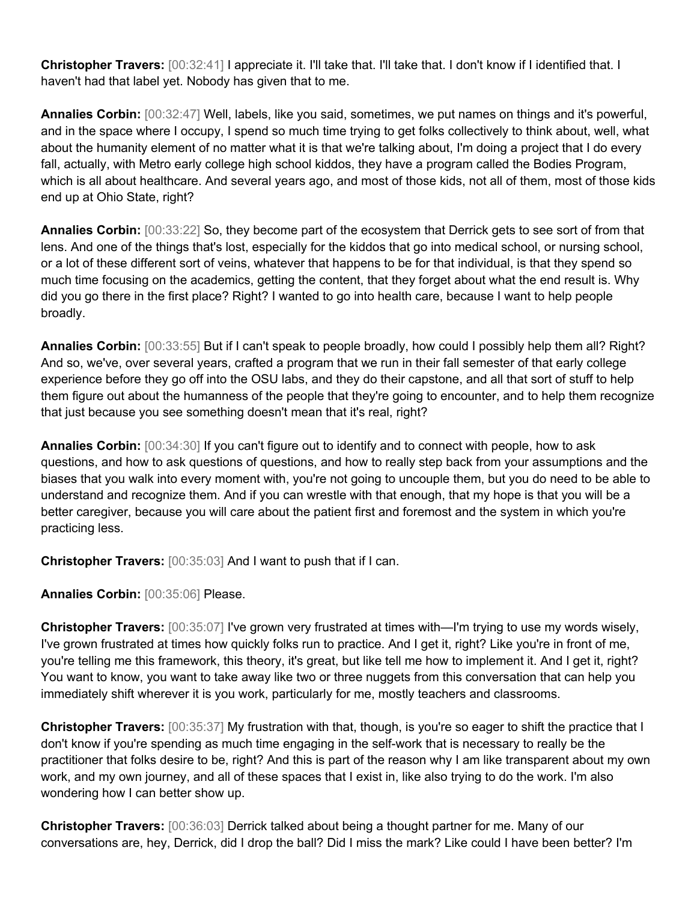**Christopher Travers:** [00:32:41] I appreciate it. I'll take that. I'll take that. I don't know if I identified that. I haven't had that label yet. Nobody has given that to me.

**Annalies Corbin:** [00:32:47] Well, labels, like you said, sometimes, we put names on things and it's powerful, and in the space where I occupy, I spend so much time trying to get folks collectively to think about, well, what about the humanity element of no matter what it is that we're talking about, I'm doing a project that I do every fall, actually, with Metro early college high school kiddos, they have a program called the Bodies Program, which is all about healthcare. And several years ago, and most of those kids, not all of them, most of those kids end up at Ohio State, right?

**Annalies Corbin:** [00:33:22] So, they become part of the ecosystem that Derrick gets to see sort of from that lens. And one of the things that's lost, especially for the kiddos that go into medical school, or nursing school, or a lot of these different sort of veins, whatever that happens to be for that individual, is that they spend so much time focusing on the academics, getting the content, that they forget about what the end result is. Why did you go there in the first place? Right? I wanted to go into health care, because I want to help people broadly.

**Annalies Corbin:** [00:33:55] But if I can't speak to people broadly, how could I possibly help them all? Right? And so, we've, over several years, crafted a program that we run in their fall semester of that early college experience before they go off into the OSU labs, and they do their capstone, and all that sort of stuff to help them figure out about the humanness of the people that they're going to encounter, and to help them recognize that just because you see something doesn't mean that it's real, right?

**Annalies Corbin:** [00:34:30] If you can't figure out to identify and to connect with people, how to ask questions, and how to ask questions of questions, and how to really step back from your assumptions and the biases that you walk into every moment with, you're not going to uncouple them, but you do need to be able to understand and recognize them. And if you can wrestle with that enough, that my hope is that you will be a better caregiver, because you will care about the patient first and foremost and the system in which you're practicing less.

**Christopher Travers:** [00:35:03] And I want to push that if I can.

**Annalies Corbin:** [00:35:06] Please.

**Christopher Travers:** [00:35:07] I've grown very frustrated at times with—I'm trying to use my words wisely, I've grown frustrated at times how quickly folks run to practice. And I get it, right? Like you're in front of me, you're telling me this framework, this theory, it's great, but like tell me how to implement it. And I get it, right? You want to know, you want to take away like two or three nuggets from this conversation that can help you immediately shift wherever it is you work, particularly for me, mostly teachers and classrooms.

**Christopher Travers:** [00:35:37] My frustration with that, though, is you're so eager to shift the practice that I don't know if you're spending as much time engaging in the self-work that is necessary to really be the practitioner that folks desire to be, right? And this is part of the reason why I am like transparent about my own work, and my own journey, and all of these spaces that I exist in, like also trying to do the work. I'm also wondering how I can better show up.

**Christopher Travers:** [00:36:03] Derrick talked about being a thought partner for me. Many of our conversations are, hey, Derrick, did I drop the ball? Did I miss the mark? Like could I have been better? I'm